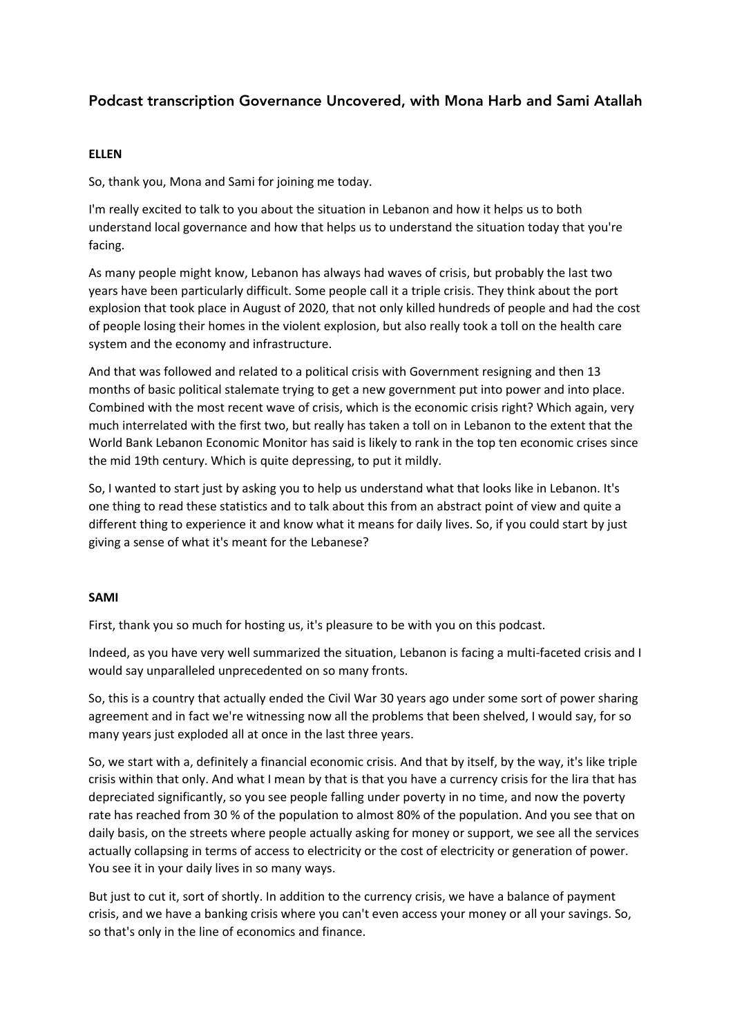# Podcast transcription Governance Uncovered, with Mona Harb and Sami Atallah

# **ELLEN**

So, thank you, Mona and Sami for joining me today.

I'm really excited to talk to you about the situation in Lebanon and how it helps us to both understand local governance and how that helps us to understand the situation today that you're facing.

As many people might know, Lebanon has always had waves of crisis, but probably the last two years have been particularly difficult. Some people call it a triple crisis. They think about the port explosion that took place in August of 2020, that not only killed hundreds of people and had the cost of people losing their homes in the violent explosion, but also really took a toll on the health care system and the economy and infrastructure.

And that was followed and related to a political crisis with Government resigning and then 13 months of basic political stalemate trying to get a new government put into power and into place. Combined with the most recent wave of crisis, which is the economic crisis right? Which again, very much interrelated with the first two, but really has taken a toll on in Lebanon to the extent that the World Bank Lebanon Economic Monitor has said is likely to rank in the top ten economic crises since the mid 19th century. Which is quite depressing, to put it mildly.

So, I wanted to start just by asking you to help us understand what that looks like in Lebanon. It's one thing to read these statistics and to talk about this from an abstract point of view and quite a different thing to experience it and know what it means for daily lives. So, if you could start by just giving a sense of what it's meant for the Lebanese?

# **SAMI**

First, thank you so much for hosting us, it's pleasure to be with you on this podcast.

Indeed, as you have very well summarized the situation, Lebanon is facing a multi-faceted crisis and I would say unparalleled unprecedented on so many fronts.

So, this is a country that actually ended the Civil War 30 years ago under some sort of power sharing agreement and in fact we're witnessing now all the problems that been shelved, I would say, for so many years just exploded all at once in the last three years.

So, we start with a, definitely a financial economic crisis. And that by itself, by the way, it's like triple crisis within that only. And what I mean by that is that you have a currency crisis for the lira that has depreciated significantly, so you see people falling under poverty in no time, and now the poverty rate has reached from 30 % of the population to almost 80% of the population. And you see that on daily basis, on the streets where people actually asking for money or support, we see all the services actually collapsing in terms of access to electricity or the cost of electricity or generation of power. You see it in your daily lives in so many ways.

But just to cut it, sort of shortly. In addition to the currency crisis, we have a balance of payment crisis, and we have a banking crisis where you can't even access your money or all your savings. So, so that's only in the line of economics and finance.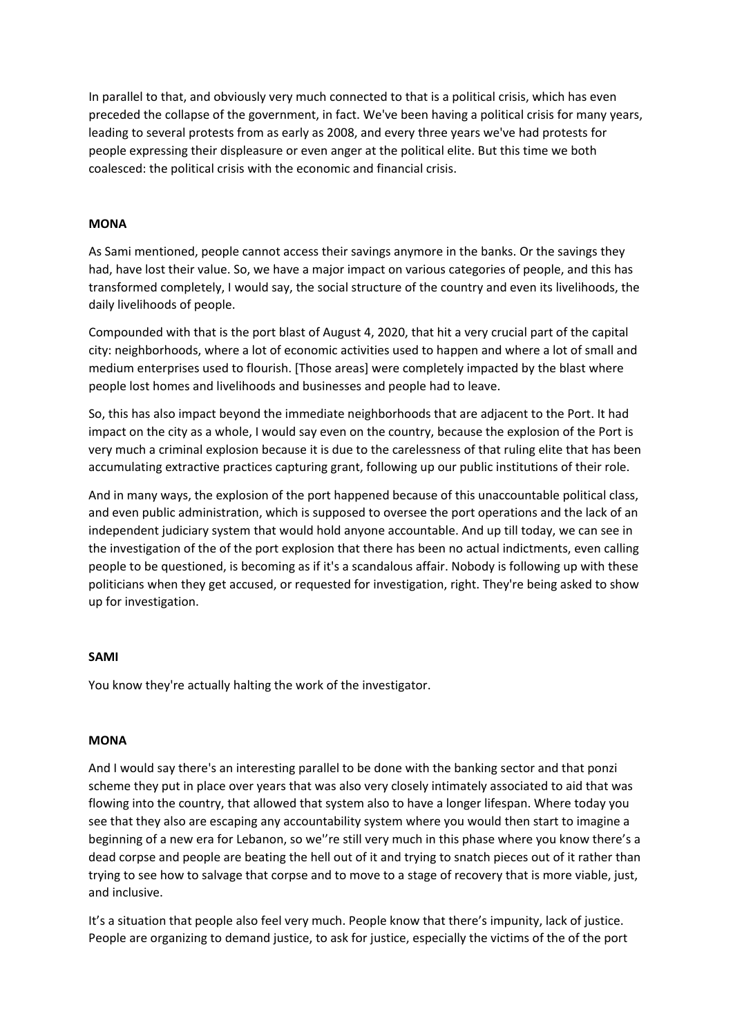In parallel to that, and obviously very much connected to that is a political crisis, which has even preceded the collapse of the government, in fact. We've been having a political crisis for many years, leading to several protests from as early as 2008, and every three years we've had protests for people expressing their displeasure or even anger at the political elite. But this time we both coalesced: the political crisis with the economic and financial crisis.

# **MONA**

As Sami mentioned, people cannot access their savings anymore in the banks. Or the savings they had, have lost their value. So, we have a major impact on various categories of people, and this has transformed completely, I would say, the social structure of the country and even its livelihoods, the daily livelihoods of people.

Compounded with that is the port blast of August 4, 2020, that hit a very crucial part of the capital city: neighborhoods, where a lot of economic activities used to happen and where a lot of small and medium enterprises used to flourish. [Those areas] were completely impacted by the blast where people lost homes and livelihoods and businesses and people had to leave.

So, this has also impact beyond the immediate neighborhoods that are adjacent to the Port. It had impact on the city as a whole, I would say even on the country, because the explosion of the Port is very much a criminal explosion because it is due to the carelessness of that ruling elite that has been accumulating extractive practices capturing grant, following up our public institutions of their role.

And in many ways, the explosion of the port happened because of this unaccountable political class, and even public administration, which is supposed to oversee the port operations and the lack of an independent judiciary system that would hold anyone accountable. And up till today, we can see in the investigation of the of the port explosion that there has been no actual indictments, even calling people to be questioned, is becoming as if it's a scandalous affair. Nobody is following up with these politicians when they get accused, or requested for investigation, right. They're being asked to show up for investigation.

### **SAMI**

You know they're actually halting the work of the investigator.

### **MONA**

And I would say there's an interesting parallel to be done with the banking sector and that ponzi scheme they put in place over years that was also very closely intimately associated to aid that was flowing into the country, that allowed that system also to have a longer lifespan. Where today you see that they also are escaping any accountability system where you would then start to imagine a beginning of a new era for Lebanon, so we''re still very much in this phase where you know there's a dead corpse and people are beating the hell out of it and trying to snatch pieces out of it rather than trying to see how to salvage that corpse and to move to a stage of recovery that is more viable, just, and inclusive.

It's a situation that people also feel very much. People know that there's impunity, lack of justice. People are organizing to demand justice, to ask for justice, especially the victims of the of the port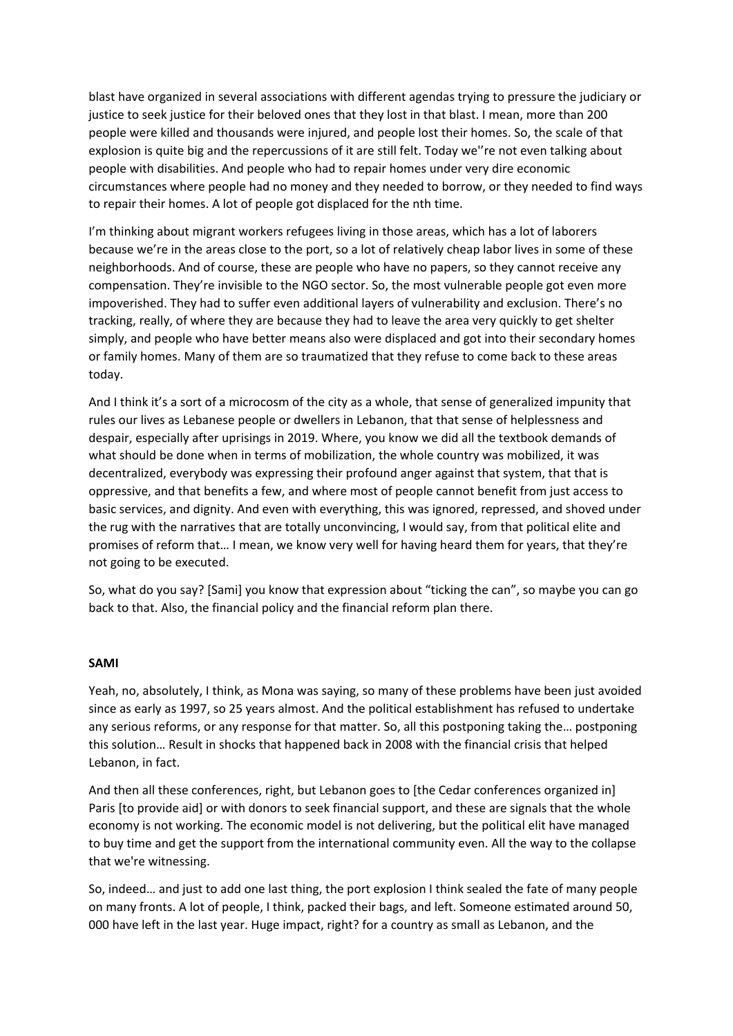blast have organized in several associations with different agendas trying to pressure the judiciary or justice to seek justice for their beloved ones that they lost in that blast. I mean, more than 200 people were killed and thousands were injured, and people lost their homes. So, the scale of that explosion is quite big and the repercussions of it are still felt. Today we''re not even talking about people with disabilities. And people who had to repair homes under very dire economic circumstances where people had no money and they needed to borrow, or they needed to find ways to repair their homes. A lot of people got displaced for the nth time.

I'm thinking about migrant workers refugees living in those areas, which has a lot of laborers because we're in the areas close to the port, so a lot of relatively cheap labor lives in some of these neighborhoods. And of course, these are people who have no papers, so they cannot receive any compensation. They're invisible to the NGO sector. So, the most vulnerable people got even more impoverished. They had to suffer even additional layers of vulnerability and exclusion. There's no tracking, really, of where they are because they had to leave the area very quickly to get shelter simply, and people who have better means also were displaced and got into their secondary homes or family homes. Many of them are so traumatized that they refuse to come back to these areas today.

And I think it's a sort of a microcosm of the city as a whole, that sense of generalized impunity that rules our lives as Lebanese people or dwellers in Lebanon, that that sense of helplessness and despair, especially after uprisings in 2019. Where, you know we did all the textbook demands of what should be done when in terms of mobilization, the whole country was mobilized, it was decentralized, everybody was expressing their profound anger against that system, that that is oppressive, and that benefits a few, and where most of people cannot benefit from just access to basic services, and dignity. And even with everything, this was ignored, repressed, and shoved under the rug with the narratives that are totally unconvincing, I would say, from that political elite and promises of reform that… I mean, we know very well for having heard them for years, that they're not going to be executed.

So, what do you say? [Sami] you know that expression about "ticking the can", so maybe you can go back to that. Also, the financial policy and the financial reform plan there.

### **SAMI**

Yeah, no, absolutely, I think, as Mona was saying, so many of these problems have been just avoided since as early as 1997, so 25 years almost. And the political establishment has refused to undertake any serious reforms, or any response for that matter. So, all this postponing taking the… postponing this solution… Result in shocks that happened back in 2008 with the financial crisis that helped Lebanon, in fact.

And then all these conferences, right, but Lebanon goes to [the Cedar conferences organized in] Paris [to provide aid] or with donors to seek financial support, and these are signals that the whole economy is not working. The economic model is not delivering, but the political elit have managed to buy time and get the support from the international community even. All the way to the collapse that we're witnessing.

So, indeed… and just to add one last thing, the port explosion I think sealed the fate of many people on many fronts. A lot of people, I think, packed their bags, and left. Someone estimated around 50, 000 have left in the last year. Huge impact, right? for a country as small as Lebanon, and the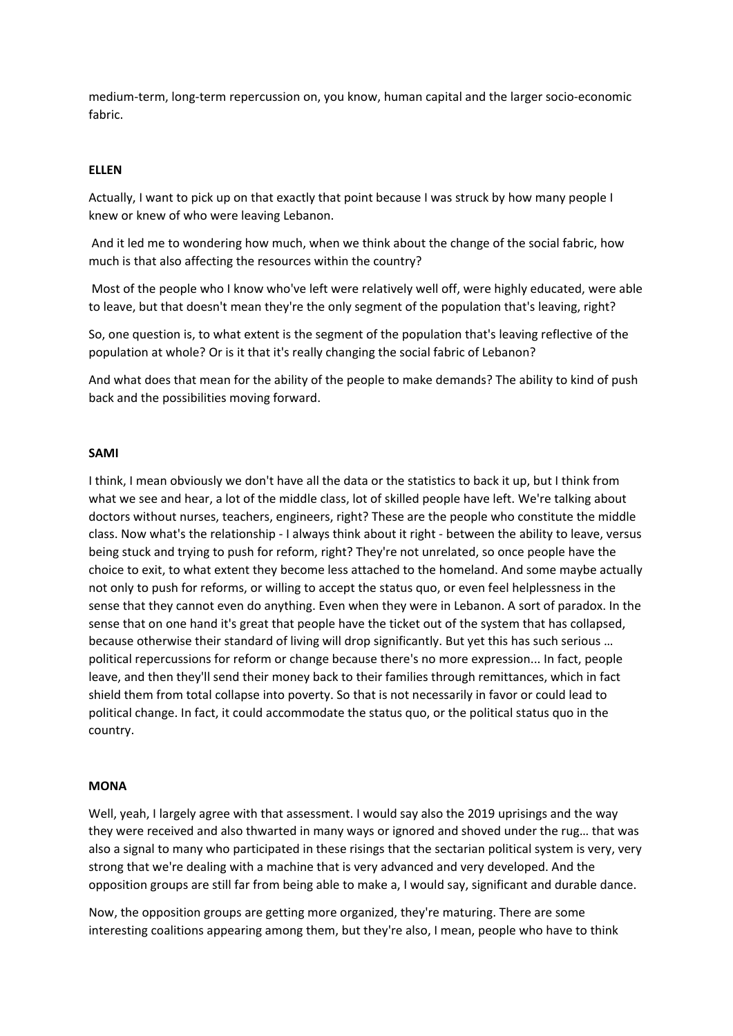medium-term, long-term repercussion on, you know, human capital and the larger socio-economic fabric.

# **ELLEN**

Actually, I want to pick up on that exactly that point because I was struck by how many people I knew or knew of who were leaving Lebanon.

And it led me to wondering how much, when we think about the change of the social fabric, how much is that also affecting the resources within the country?

Most of the people who I know who've left were relatively well off, were highly educated, were able to leave, but that doesn't mean they're the only segment of the population that's leaving, right?

So, one question is, to what extent is the segment of the population that's leaving reflective of the population at whole? Or is it that it's really changing the social fabric of Lebanon?

And what does that mean for the ability of the people to make demands? The ability to kind of push back and the possibilities moving forward.

### **SAMI**

I think, I mean obviously we don't have all the data or the statistics to back it up, but I think from what we see and hear, a lot of the middle class, lot of skilled people have left. We're talking about doctors without nurses, teachers, engineers, right? These are the people who constitute the middle class. Now what's the relationship - I always think about it right - between the ability to leave, versus being stuck and trying to push for reform, right? They're not unrelated, so once people have the choice to exit, to what extent they become less attached to the homeland. And some maybe actually not only to push for reforms, or willing to accept the status quo, or even feel helplessness in the sense that they cannot even do anything. Even when they were in Lebanon. A sort of paradox. In the sense that on one hand it's great that people have the ticket out of the system that has collapsed, because otherwise their standard of living will drop significantly. But yet this has such serious … political repercussions for reform or change because there's no more expression... In fact, people leave, and then they'll send their money back to their families through remittances, which in fact shield them from total collapse into poverty. So that is not necessarily in favor or could lead to political change. In fact, it could accommodate the status quo, or the political status quo in the country.

#### **MONA**

Well, yeah, I largely agree with that assessment. I would say also the 2019 uprisings and the way they were received and also thwarted in many ways or ignored and shoved under the rug… that was also a signal to many who participated in these risings that the sectarian political system is very, very strong that we're dealing with a machine that is very advanced and very developed. And the opposition groups are still far from being able to make a, I would say, significant and durable dance.

Now, the opposition groups are getting more organized, they're maturing. There are some interesting coalitions appearing among them, but they're also, I mean, people who have to think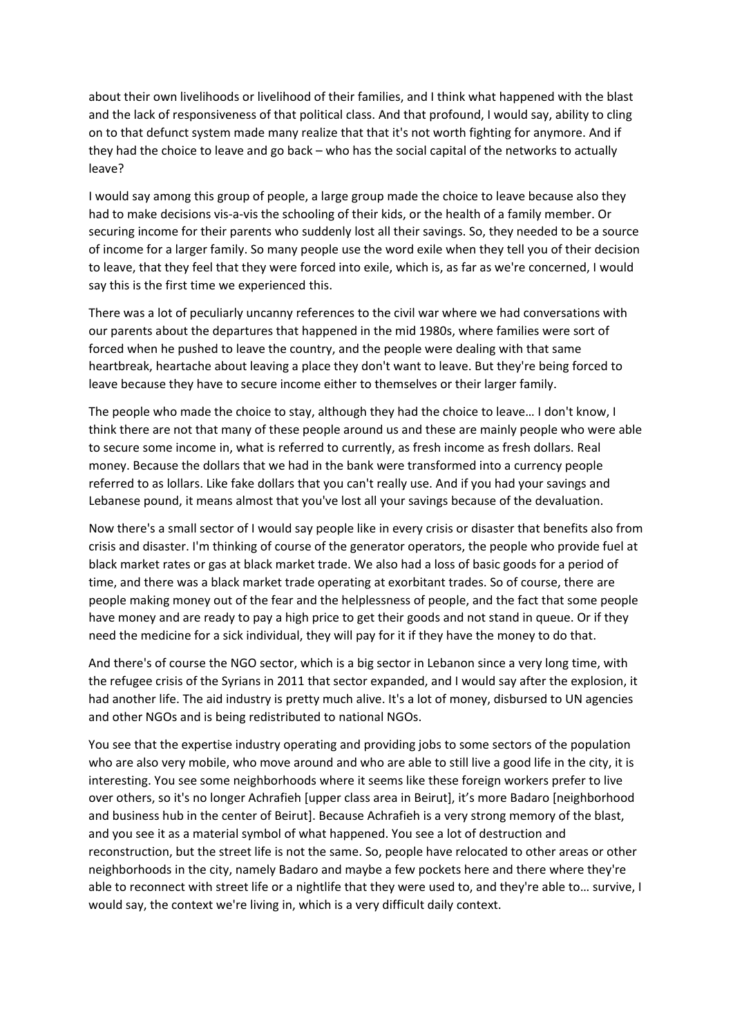about their own livelihoods or livelihood of their families, and I think what happened with the blast and the lack of responsiveness of that political class. And that profound, I would say, ability to cling on to that defunct system made many realize that that it's not worth fighting for anymore. And if they had the choice to leave and go back – who has the social capital of the networks to actually leave?

I would say among this group of people, a large group made the choice to leave because also they had to make decisions vis-a-vis the schooling of their kids, or the health of a family member. Or securing income for their parents who suddenly lost all their savings. So, they needed to be a source of income for a larger family. So many people use the word exile when they tell you of their decision to leave, that they feel that they were forced into exile, which is, as far as we're concerned, I would say this is the first time we experienced this.

There was a lot of peculiarly uncanny references to the civil war where we had conversations with our parents about the departures that happened in the mid 1980s, where families were sort of forced when he pushed to leave the country, and the people were dealing with that same heartbreak, heartache about leaving a place they don't want to leave. But they're being forced to leave because they have to secure income either to themselves or their larger family.

The people who made the choice to stay, although they had the choice to leave… I don't know, I think there are not that many of these people around us and these are mainly people who were able to secure some income in, what is referred to currently, as fresh income as fresh dollars. Real money. Because the dollars that we had in the bank were transformed into a currency people referred to as lollars. Like fake dollars that you can't really use. And if you had your savings and Lebanese pound, it means almost that you've lost all your savings because of the devaluation.

Now there's a small sector of I would say people like in every crisis or disaster that benefits also from crisis and disaster. I'm thinking of course of the generator operators, the people who provide fuel at black market rates or gas at black market trade. We also had a loss of basic goods for a period of time, and there was a black market trade operating at exorbitant trades. So of course, there are people making money out of the fear and the helplessness of people, and the fact that some people have money and are ready to pay a high price to get their goods and not stand in queue. Or if they need the medicine for a sick individual, they will pay for it if they have the money to do that.

And there's of course the NGO sector, which is a big sector in Lebanon since a very long time, with the refugee crisis of the Syrians in 2011 that sector expanded, and I would say after the explosion, it had another life. The aid industry is pretty much alive. It's a lot of money, disbursed to UN agencies and other NGOs and is being redistributed to national NGOs.

You see that the expertise industry operating and providing jobs to some sectors of the population who are also very mobile, who move around and who are able to still live a good life in the city, it is interesting. You see some neighborhoods where it seems like these foreign workers prefer to live over others, so it's no longer Achrafieh [upper class area in Beirut], it's more Badaro [neighborhood and business hub in the center of Beirut]. Because Achrafieh is a very strong memory of the blast, and you see it as a material symbol of what happened. You see a lot of destruction and reconstruction, but the street life is not the same. So, people have relocated to other areas or other neighborhoods in the city, namely Badaro and maybe a few pockets here and there where they're able to reconnect with street life or a nightlife that they were used to, and they're able to… survive, I would say, the context we're living in, which is a very difficult daily context.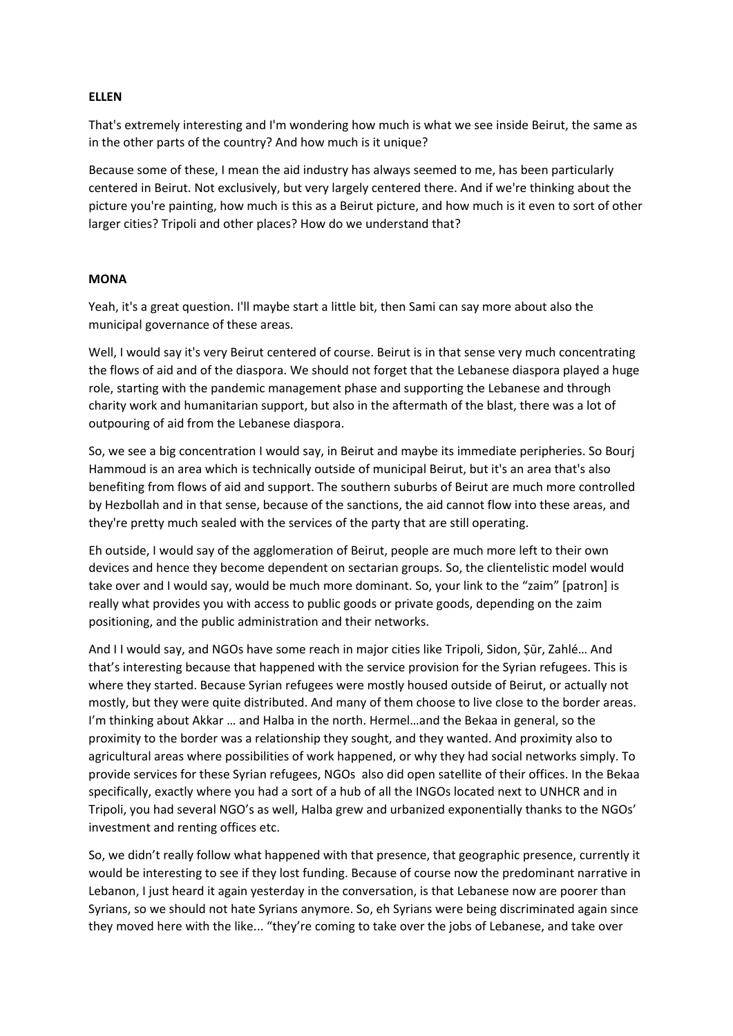# **ELLEN**

That's extremely interesting and I'm wondering how much is what we see inside Beirut, the same as in the other parts of the country? And how much is it unique?

Because some of these, I mean the aid industry has always seemed to me, has been particularly centered in Beirut. Not exclusively, but very largely centered there. And if we're thinking about the picture you're painting, how much is this as a Beirut picture, and how much is it even to sort of other larger cities? Tripoli and other places? How do we understand that?

# **MONA**

Yeah, it's a great question. I'll maybe start a little bit, then Sami can say more about also the municipal governance of these areas.

Well, I would say it's very Beirut centered of course. Beirut is in that sense very much concentrating the flows of aid and of the diaspora. We should not forget that the Lebanese diaspora played a huge role, starting with the pandemic management phase and supporting the Lebanese and through charity work and humanitarian support, but also in the aftermath of the blast, there was a lot of outpouring of aid from the Lebanese diaspora.

So, we see a big concentration I would say, in Beirut and maybe its immediate peripheries. So Bourj Hammoud is an area which is technically outside of municipal Beirut, but it's an area that's also benefiting from flows of aid and support. The southern suburbs of Beirut are much more controlled by Hezbollah and in that sense, because of the sanctions, the aid cannot flow into these areas, and they're pretty much sealed with the services of the party that are still operating.

Eh outside, I would say of the agglomeration of Beirut, people are much more left to their own devices and hence they become dependent on sectarian groups. So, the clientelistic model would take over and I would say, would be much more dominant. So, your link to the "zaim" [patron] is really what provides you with access to public goods or private goods, depending on the zaim positioning, and the public administration and their networks.

And I I would say, and NGOs have some reach in major cities like Tripoli, Sidon, Ṣūr, Zahlé… And that's interesting because that happened with the service provision for the Syrian refugees. This is where they started. Because Syrian refugees were mostly housed outside of Beirut, or actually not mostly, but they were quite distributed. And many of them choose to live close to the border areas. I'm thinking about Akkar … and Halba in the north. Hermel…and the Bekaa in general, so the proximity to the border was a relationship they sought, and they wanted. And proximity also to agricultural areas where possibilities of work happened, or why they had social networks simply. To provide services for these Syrian refugees, NGOs also did open satellite of their offices. In the Bekaa specifically, exactly where you had a sort of a hub of all the INGOs located next to UNHCR and in Tripoli, you had several NGO's as well, Halba grew and urbanized exponentially thanks to the NGOs' investment and renting offices etc.

So, we didn't really follow what happened with that presence, that geographic presence, currently it would be interesting to see if they lost funding. Because of course now the predominant narrative in Lebanon, I just heard it again yesterday in the conversation, is that Lebanese now are poorer than Syrians, so we should not hate Syrians anymore. So, eh Syrians were being discriminated again since they moved here with the like... "they're coming to take over the jobs of Lebanese, and take over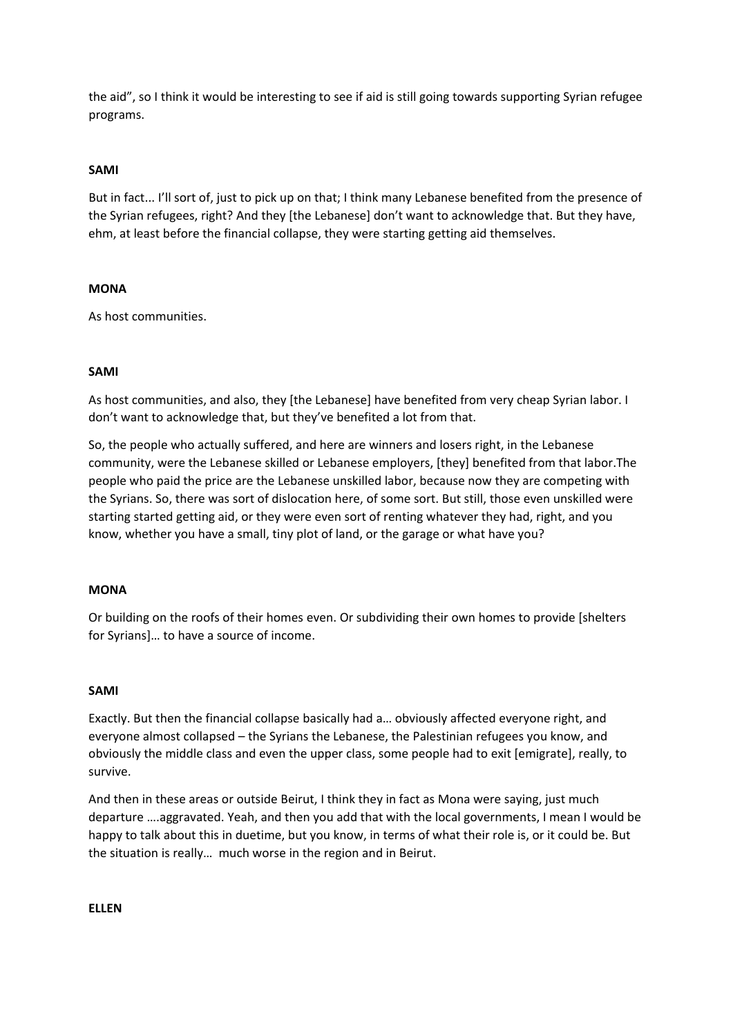the aid", so I think it would be interesting to see if aid is still going towards supporting Syrian refugee programs.

# **SAMI**

But in fact... I'll sort of, just to pick up on that; I think many Lebanese benefited from the presence of the Syrian refugees, right? And they [the Lebanese] don't want to acknowledge that. But they have, ehm, at least before the financial collapse, they were starting getting aid themselves.

# **MONA**

As host communities.

# **SAMI**

As host communities, and also, they [the Lebanese] have benefited from very cheap Syrian labor. I don't want to acknowledge that, but they've benefited a lot from that.

So, the people who actually suffered, and here are winners and losers right, in the Lebanese community, were the Lebanese skilled or Lebanese employers, [they] benefited from that labor.The people who paid the price are the Lebanese unskilled labor, because now they are competing with the Syrians. So, there was sort of dislocation here, of some sort. But still, those even unskilled were starting started getting aid, or they were even sort of renting whatever they had, right, and you know, whether you have a small, tiny plot of land, or the garage or what have you?

# **MONA**

Or building on the roofs of their homes even. Or subdividing their own homes to provide [shelters for Syrians]… to have a source of income.

# **SAMI**

Exactly. But then the financial collapse basically had a… obviously affected everyone right, and everyone almost collapsed – the Syrians the Lebanese, the Palestinian refugees you know, and obviously the middle class and even the upper class, some people had to exit [emigrate], really, to survive.

And then in these areas or outside Beirut, I think they in fact as Mona were saying, just much departure ….aggravated. Yeah, and then you add that with the local governments, I mean I would be happy to talk about this in duetime, but you know, in terms of what their role is, or it could be. But the situation is really… much worse in the region and in Beirut.

**ELLEN**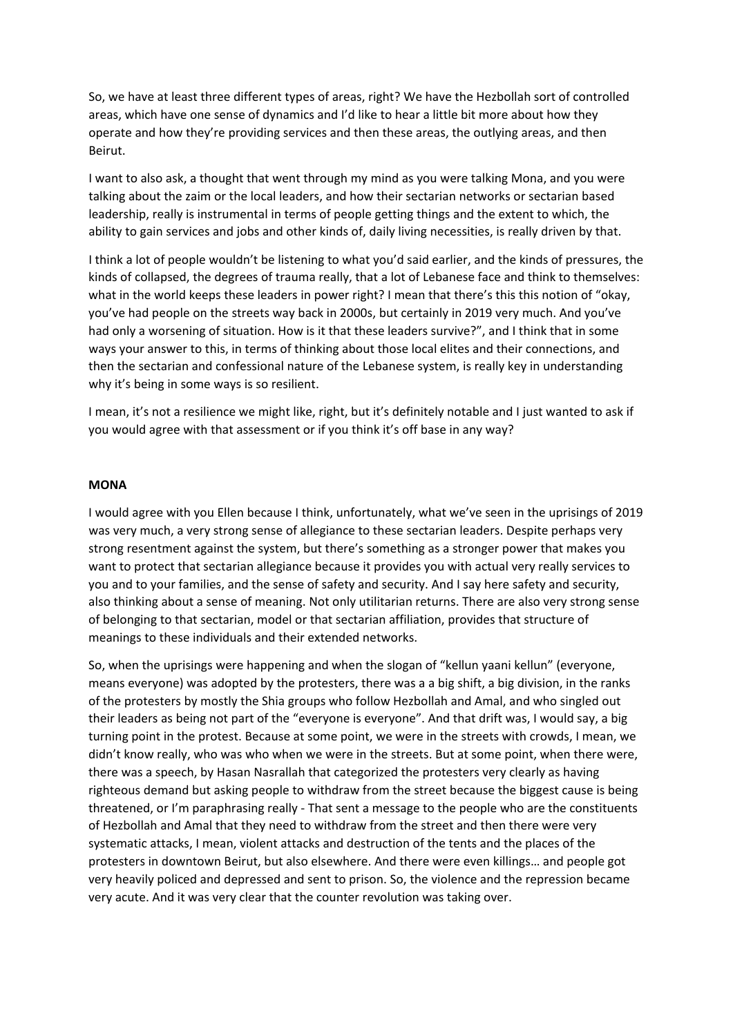So, we have at least three different types of areas, right? We have the Hezbollah sort of controlled areas, which have one sense of dynamics and I'd like to hear a little bit more about how they operate and how they're providing services and then these areas, the outlying areas, and then Beirut.

I want to also ask, a thought that went through my mind as you were talking Mona, and you were talking about the zaim or the local leaders, and how their sectarian networks or sectarian based leadership, really is instrumental in terms of people getting things and the extent to which, the ability to gain services and jobs and other kinds of, daily living necessities, is really driven by that.

I think a lot of people wouldn't be listening to what you'd said earlier, and the kinds of pressures, the kinds of collapsed, the degrees of trauma really, that a lot of Lebanese face and think to themselves: what in the world keeps these leaders in power right? I mean that there's this this notion of "okay, you've had people on the streets way back in 2000s, but certainly in 2019 very much. And you've had only a worsening of situation. How is it that these leaders survive?", and I think that in some ways your answer to this, in terms of thinking about those local elites and their connections, and then the sectarian and confessional nature of the Lebanese system, is really key in understanding why it's being in some ways is so resilient.

I mean, it's not a resilience we might like, right, but it's definitely notable and I just wanted to ask if you would agree with that assessment or if you think it's off base in any way?

### **MONA**

I would agree with you Ellen because I think, unfortunately, what we've seen in the uprisings of 2019 was very much, a very strong sense of allegiance to these sectarian leaders. Despite perhaps very strong resentment against the system, but there's something as a stronger power that makes you want to protect that sectarian allegiance because it provides you with actual very really services to you and to your families, and the sense of safety and security. And I say here safety and security, also thinking about a sense of meaning. Not only utilitarian returns. There are also very strong sense of belonging to that sectarian, model or that sectarian affiliation, provides that structure of meanings to these individuals and their extended networks.

So, when the uprisings were happening and when the slogan of "kellun yaani kellun" (everyone, means everyone) was adopted by the protesters, there was a a big shift, a big division, in the ranks of the protesters by mostly the Shia groups who follow Hezbollah and Amal, and who singled out their leaders as being not part of the "everyone is everyone". And that drift was, I would say, a big turning point in the protest. Because at some point, we were in the streets with crowds, I mean, we didn't know really, who was who when we were in the streets. But at some point, when there were, there was a speech, by Hasan Nasrallah that categorized the protesters very clearly as having righteous demand but asking people to withdraw from the street because the biggest cause is being threatened, or I'm paraphrasing really - That sent a message to the people who are the constituents of Hezbollah and Amal that they need to withdraw from the street and then there were very systematic attacks, I mean, violent attacks and destruction of the tents and the places of the protesters in downtown Beirut, but also elsewhere. And there were even killings… and people got very heavily policed and depressed and sent to prison. So, the violence and the repression became very acute. And it was very clear that the counter revolution was taking over.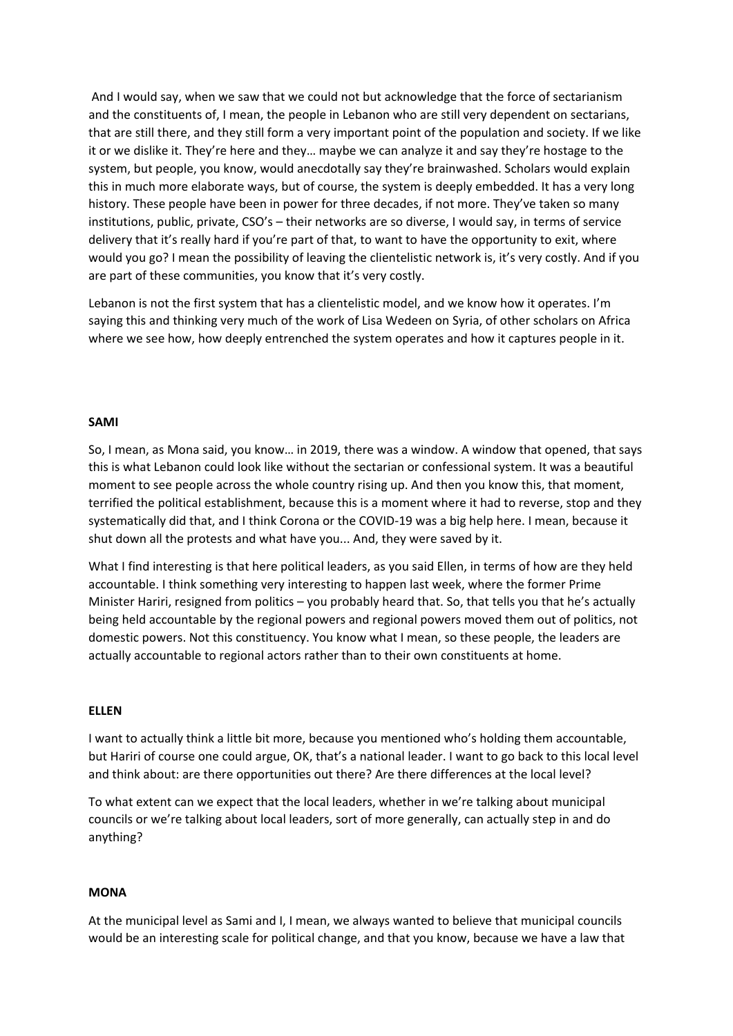And I would say, when we saw that we could not but acknowledge that the force of sectarianism and the constituents of, I mean, the people in Lebanon who are still very dependent on sectarians, that are still there, and they still form a very important point of the population and society. If we like it or we dislike it. They're here and they… maybe we can analyze it and say they're hostage to the system, but people, you know, would anecdotally say they're brainwashed. Scholars would explain this in much more elaborate ways, but of course, the system is deeply embedded. It has a very long history. These people have been in power for three decades, if not more. They've taken so many institutions, public, private, CSO's – their networks are so diverse, I would say, in terms of service delivery that it's really hard if you're part of that, to want to have the opportunity to exit, where would you go? I mean the possibility of leaving the clientelistic network is, it's very costly. And if you are part of these communities, you know that it's very costly.

Lebanon is not the first system that has a clientelistic model, and we know how it operates. I'm saying this and thinking very much of the work of Lisa Wedeen on Syria, of other scholars on Africa where we see how, how deeply entrenched the system operates and how it captures people in it.

# **SAMI**

So, I mean, as Mona said, you know… in 2019, there was a window. A window that opened, that says this is what Lebanon could look like without the sectarian or confessional system. It was a beautiful moment to see people across the whole country rising up. And then you know this, that moment, terrified the political establishment, because this is a moment where it had to reverse, stop and they systematically did that, and I think Corona or the COVID-19 was a big help here. I mean, because it shut down all the protests and what have you... And, they were saved by it.

What I find interesting is that here political leaders, as you said Ellen, in terms of how are they held accountable. I think something very interesting to happen last week, where the former Prime Minister Hariri, resigned from politics – you probably heard that. So, that tells you that he's actually being held accountable by the regional powers and regional powers moved them out of politics, not domestic powers. Not this constituency. You know what I mean, so these people, the leaders are actually accountable to regional actors rather than to their own constituents at home.

#### **ELLEN**

I want to actually think a little bit more, because you mentioned who's holding them accountable, but Hariri of course one could argue, OK, that's a national leader. I want to go back to this local level and think about: are there opportunities out there? Are there differences at the local level?

To what extent can we expect that the local leaders, whether in we're talking about municipal councils or we're talking about local leaders, sort of more generally, can actually step in and do anything?

### **MONA**

At the municipal level as Sami and I, I mean, we always wanted to believe that municipal councils would be an interesting scale for political change, and that you know, because we have a law that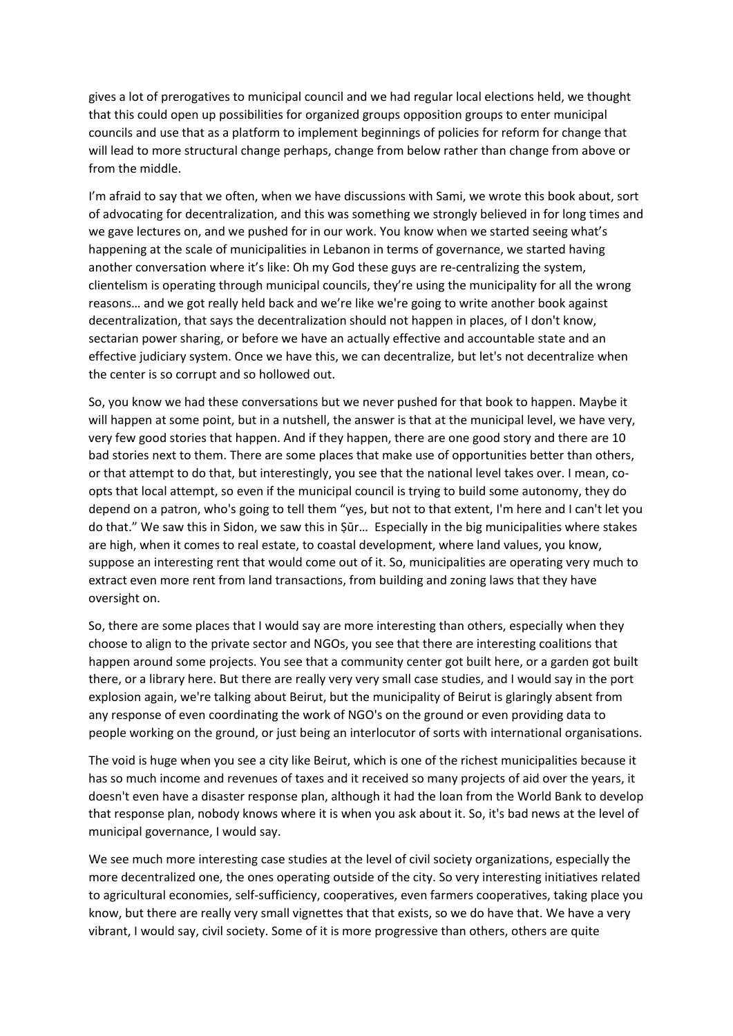gives a lot of prerogatives to municipal council and we had regular local elections held, we thought that this could open up possibilities for organized groups opposition groups to enter municipal councils and use that as a platform to implement beginnings of policies for reform for change that will lead to more structural change perhaps, change from below rather than change from above or from the middle.

I'm afraid to say that we often, when we have discussions with Sami, we wrote this book about, sort of advocating for decentralization, and this was something we strongly believed in for long times and we gave lectures on, and we pushed for in our work. You know when we started seeing what's happening at the scale of municipalities in Lebanon in terms of governance, we started having another conversation where it's like: Oh my God these guys are re-centralizing the system, clientelism is operating through municipal councils, they're using the municipality for all the wrong reasons… and we got really held back and we're like we're going to write another book against decentralization, that says the decentralization should not happen in places, of I don't know, sectarian power sharing, or before we have an actually effective and accountable state and an effective judiciary system. Once we have this, we can decentralize, but let's not decentralize when the center is so corrupt and so hollowed out.

So, you know we had these conversations but we never pushed for that book to happen. Maybe it will happen at some point, but in a nutshell, the answer is that at the municipal level, we have very, very few good stories that happen. And if they happen, there are one good story and there are 10 bad stories next to them. There are some places that make use of opportunities better than others, or that attempt to do that, but interestingly, you see that the national level takes over. I mean, coopts that local attempt, so even if the municipal council is trying to build some autonomy, they do depend on a patron, who's going to tell them "yes, but not to that extent, I'm here and I can't let you do that." We saw this in Sidon, we saw this in Ṣūr… Especially in the big municipalities where stakes are high, when it comes to real estate, to coastal development, where land values, you know, suppose an interesting rent that would come out of it. So, municipalities are operating very much to extract even more rent from land transactions, from building and zoning laws that they have oversight on.

So, there are some places that I would say are more interesting than others, especially when they choose to align to the private sector and NGOs, you see that there are interesting coalitions that happen around some projects. You see that a community center got built here, or a garden got built there, or a library here. But there are really very very small case studies, and I would say in the port explosion again, we're talking about Beirut, but the municipality of Beirut is glaringly absent from any response of even coordinating the work of NGO's on the ground or even providing data to people working on the ground, or just being an interlocutor of sorts with international organisations.

The void is huge when you see a city like Beirut, which is one of the richest municipalities because it has so much income and revenues of taxes and it received so many projects of aid over the years, it doesn't even have a disaster response plan, although it had the loan from the World Bank to develop that response plan, nobody knows where it is when you ask about it. So, it's bad news at the level of municipal governance, I would say.

We see much more interesting case studies at the level of civil society organizations, especially the more decentralized one, the ones operating outside of the city. So very interesting initiatives related to agricultural economies, self-sufficiency, cooperatives, even farmers cooperatives, taking place you know, but there are really very small vignettes that that exists, so we do have that. We have a very vibrant, I would say, civil society. Some of it is more progressive than others, others are quite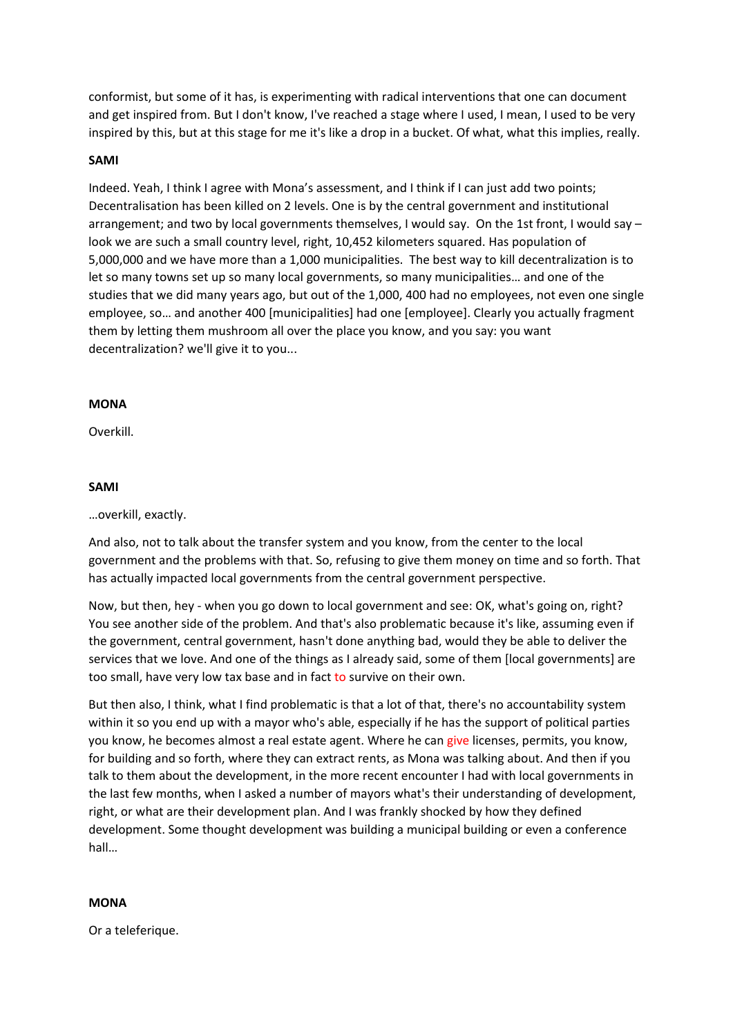conformist, but some of it has, is experimenting with radical interventions that one can document and get inspired from. But I don't know, I've reached a stage where I used, I mean, I used to be very inspired by this, but at this stage for me it's like a drop in a bucket. Of what, what this implies, really.

# **SAMI**

Indeed. Yeah, I think I agree with Mona's assessment, and I think if I can just add two points; Decentralisation has been killed on 2 levels. One is by the central government and institutional arrangement; and two by local governments themselves, I would say. On the 1st front, I would say – look we are such a small country level, right, 10,452 kilometers squared. Has population of 5,000,000 and we have more than a 1,000 municipalities. The best way to kill decentralization is to let so many towns set up so many local governments, so many municipalities… and one of the studies that we did many years ago, but out of the 1,000, 400 had no employees, not even one single employee, so… and another 400 [municipalities] had one [employee]. Clearly you actually fragment them by letting them mushroom all over the place you know, and you say: you want decentralization? we'll give it to you...

# **MONA**

Overkill.

# **SAMI**

### …overkill, exactly.

And also, not to talk about the transfer system and you know, from the center to the local government and the problems with that. So, refusing to give them money on time and so forth. That has actually impacted local governments from the central government perspective.

Now, but then, hey - when you go down to local government and see: OK, what's going on, right? You see another side of the problem. And that's also problematic because it's like, assuming even if the government, central government, hasn't done anything bad, would they be able to deliver the services that we love. And one of the things as I already said, some of them [local governments] are too small, have very low tax base and in fact to survive on their own.

But then also, I think, what I find problematic is that a lot of that, there's no accountability system within it so you end up with a mayor who's able, especially if he has the support of political parties you know, he becomes almost a real estate agent. Where he can give licenses, permits, you know, for building and so forth, where they can extract rents, as Mona was talking about. And then if you talk to them about the development, in the more recent encounter I had with local governments in the last few months, when I asked a number of mayors what's their understanding of development, right, or what are their development plan. And I was frankly shocked by how they defined development. Some thought development was building a municipal building or even a conference hall…

### **MONA**

Or a teleferique.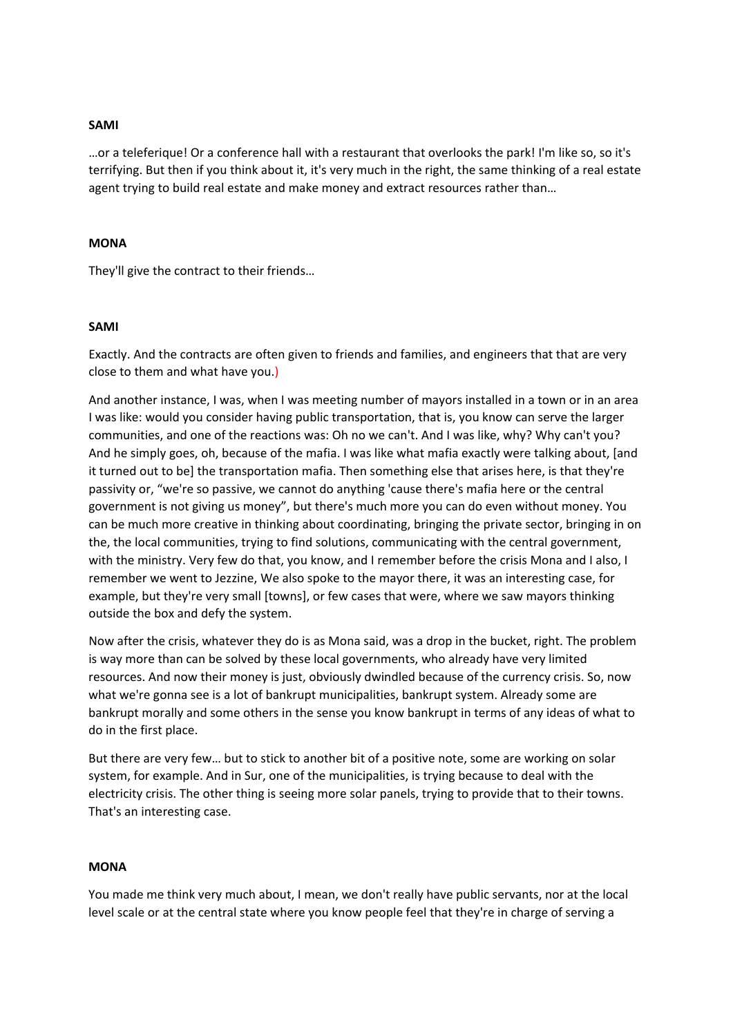# **SAMI**

…or a teleferique! Or a conference hall with a restaurant that overlooks the park! I'm like so, so it's terrifying. But then if you think about it, it's very much in the right, the same thinking of a real estate agent trying to build real estate and make money and extract resources rather than…

### **MONA**

They'll give the contract to their friends…

#### **SAMI**

Exactly. And the contracts are often given to friends and families, and engineers that that are very close to them and what have you.)

And another instance, I was, when I was meeting number of mayors installed in a town or in an area I was like: would you consider having public transportation, that is, you know can serve the larger communities, and one of the reactions was: Oh no we can't. And I was like, why? Why can't you? And he simply goes, oh, because of the mafia. I was like what mafia exactly were talking about, [and it turned out to be] the transportation mafia. Then something else that arises here, is that they're passivity or, "we're so passive, we cannot do anything 'cause there's mafia here or the central government is not giving us money", but there's much more you can do even without money. You can be much more creative in thinking about coordinating, bringing the private sector, bringing in on the, the local communities, trying to find solutions, communicating with the central government, with the ministry. Very few do that, you know, and I remember before the crisis Mona and I also, I remember we went to Jezzine, We also spoke to the mayor there, it was an interesting case, for example, but they're very small [towns], or few cases that were, where we saw mayors thinking outside the box and defy the system.

Now after the crisis, whatever they do is as Mona said, was a drop in the bucket, right. The problem is way more than can be solved by these local governments, who already have very limited resources. And now their money is just, obviously dwindled because of the currency crisis. So, now what we're gonna see is a lot of bankrupt municipalities, bankrupt system. Already some are bankrupt morally and some others in the sense you know bankrupt in terms of any ideas of what to do in the first place.

But there are very few… but to stick to another bit of a positive note, some are working on solar system, for example. And in Sur, one of the municipalities, is trying because to deal with the electricity crisis. The other thing is seeing more solar panels, trying to provide that to their towns. That's an interesting case.

# **MONA**

You made me think very much about, I mean, we don't really have public servants, nor at the local level scale or at the central state where you know people feel that they're in charge of serving a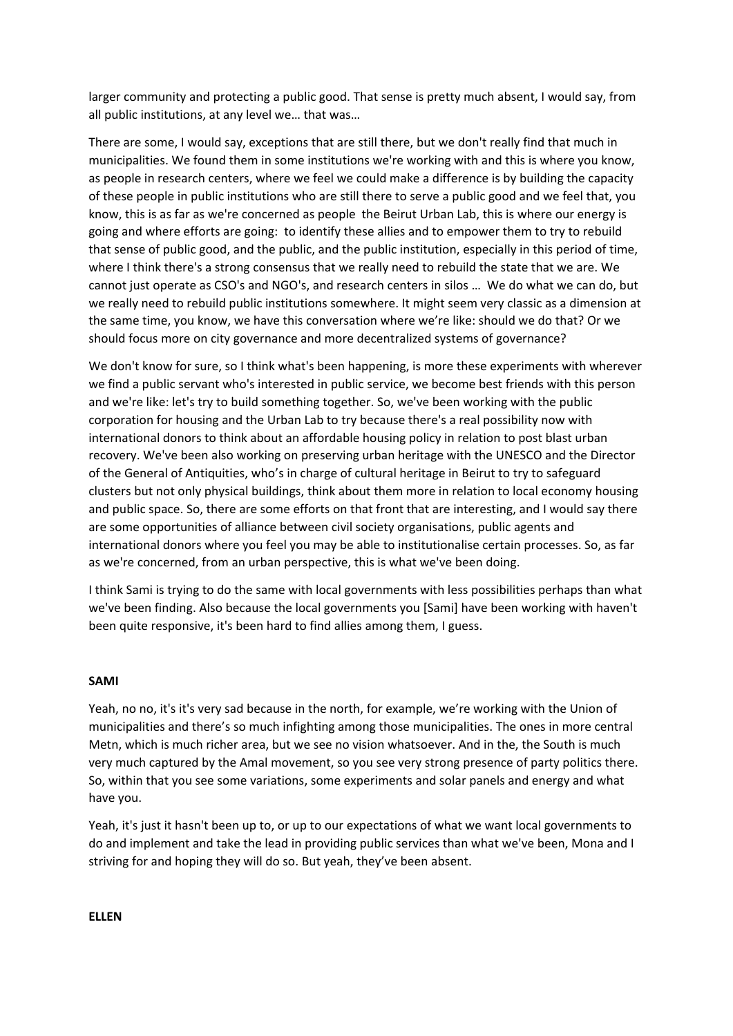larger community and protecting a public good. That sense is pretty much absent, I would say, from all public institutions, at any level we… that was…

There are some, I would say, exceptions that are still there, but we don't really find that much in municipalities. We found them in some institutions we're working with and this is where you know, as people in research centers, where we feel we could make a difference is by building the capacity of these people in public institutions who are still there to serve a public good and we feel that, you know, this is as far as we're concerned as people the Beirut Urban Lab, this is where our energy is going and where efforts are going: to identify these allies and to empower them to try to rebuild that sense of public good, and the public, and the public institution, especially in this period of time, where I think there's a strong consensus that we really need to rebuild the state that we are. We cannot just operate as CSO's and NGO's, and research centers in silos … We do what we can do, but we really need to rebuild public institutions somewhere. It might seem very classic as a dimension at the same time, you know, we have this conversation where we're like: should we do that? Or we should focus more on city governance and more decentralized systems of governance?

We don't know for sure, so I think what's been happening, is more these experiments with wherever we find a public servant who's interested in public service, we become best friends with this person and we're like: let's try to build something together. So, we've been working with the public corporation for housing and the Urban Lab to try because there's a real possibility now with international donors to think about an affordable housing policy in relation to post blast urban recovery. We've been also working on preserving urban heritage with the UNESCO and the Director of the General of Antiquities, who's in charge of cultural heritage in Beirut to try to safeguard clusters but not only physical buildings, think about them more in relation to local economy housing and public space. So, there are some efforts on that front that are interesting, and I would say there are some opportunities of alliance between civil society organisations, public agents and international donors where you feel you may be able to institutionalise certain processes. So, as far as we're concerned, from an urban perspective, this is what we've been doing.

I think Sami is trying to do the same with local governments with less possibilities perhaps than what we've been finding. Also because the local governments you [Sami] have been working with haven't been quite responsive, it's been hard to find allies among them, I guess.

### **SAMI**

Yeah, no no, it's it's very sad because in the north, for example, we're working with the Union of municipalities and there's so much infighting among those municipalities. The ones in more central Metn, which is much richer area, but we see no vision whatsoever. And in the, the South is much very much captured by the Amal movement, so you see very strong presence of party politics there. So, within that you see some variations, some experiments and solar panels and energy and what have you.

Yeah, it's just it hasn't been up to, or up to our expectations of what we want local governments to do and implement and take the lead in providing public services than what we've been, Mona and I striving for and hoping they will do so. But yeah, they've been absent.

**ELLEN**